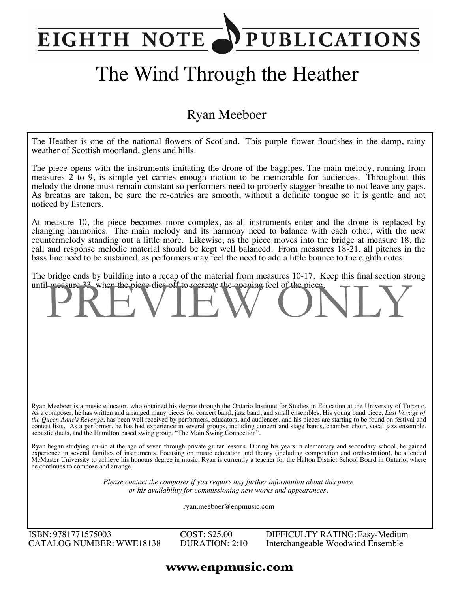## **PUBLICATIONS** EIGHTH NOTE

# The Wind Through the Heather

### Ryan Meeboer

The Heather is one of the national flowers of Scotland. This purple flower flourishes in the damp, rainy weather of Scottish moorland, glens and hills.

The piece opens with the instruments imitating the drone of the bagpipes. The main melody, running from measures 2 to 9, is simple yet carries enough motion to be memorable for audiences. Throughout this melody the drone must remain constant so performers need to properly stagger breathe to not leave any gaps. As breaths are taken, be sure the re-entries are smooth, without a definite tongue so it is gentle and not noticed by listeners.

At measure 10, the piece becomes more complex, as all instruments enter and the drone is replaced by changing harmonies. The main melody and its harmony need to balance with each other, with the new countermelody standing out a little more. Likewise, as the piece moves into the bridge at measure 18, the call and response melodic material should be kept well balanced. From measures 18-21, all pitches in the bass line need to be sustained, as performers may feel the need to add a little bounce to the eighth notes.

The bridge ends by building into a recap of the material from measures 10-17. Keep this final section strong until measure 33, when the piece dies off to recreate the opening feel of the piece.

Ryan Meeboer is a music educator, who obtained his degree through the Ontario Institute for Studies in Education at the University of Toronto. As a composer, he has written and arranged many pieces for concert band, jazz band, and small ensembles. His young band piece, *Last Voyage of the Queen Anne's Revenge*, has been well received by performers, educators, and audiences, and his pieces are starting to be found on festival and contest lists. As a performer, he has had experience in several groups, including concert and stage bands, chamber choir, vocal jazz ensemble, acoustic duets, and the Hamilton based swing group, "The Main Swing Connection".

Ryan began studying music at the age of seven through private guitar lessons. During his years in elementary and secondary school, he gained experience in several families of instruments. Focusing on music education and theory (including composition and orchestration), he attended McMaster University to achieve his honours degree in music. Ryan is currently a teacher for the Halton District School Board in Ontario, where he continues to compose and arrange.

> *Please contact the composer if you require any further information about this piece or his availability for commissioning new works and appearances.*

> > ryan.meeboer@enpmusic.com

ISBN: 9781771575003 CATALOG NUMBER: WWE18138 COST: \$25.00 DURATION: 2:10 DIFFICULTY RATING:Easy-Medium Interchangeable Woodwind Ensemble

#### **www.enpmusic.com**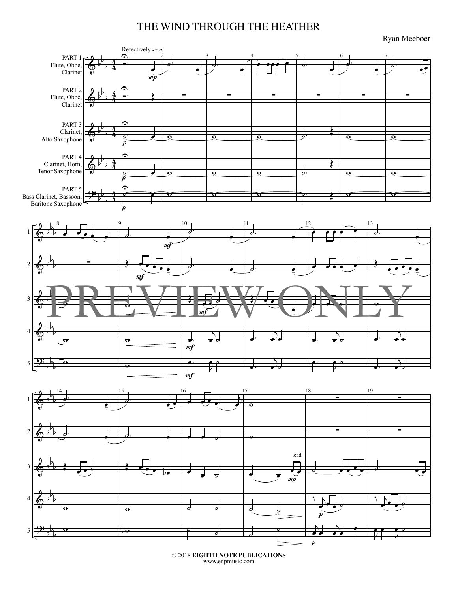#### THE WIND THROUGH THE HEATHER

Ryan Meeboer



© 2018 **EIGHTH NOTE PUBLICATIONS** www.enpmusic.com